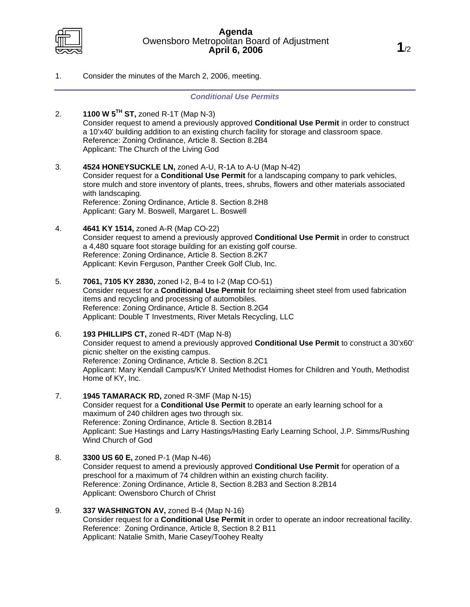

1. Consider the minutes of the March 2, 2006, meeting.

## *Conditional Use Permits*

- 2. **1100 W 5TH ST,** zoned R-1T (Map N-3) Consider request to amend a previously approved **Conditional Use Permit** in order to construct a 10'x40' building addition to an existing church facility for storage and classroom space. Reference: Zoning Ordinance, Article 8. Section 8.2B4 Applicant: The Church of the Living God
- 3. **4524 HONEYSUCKLE LN,** zoned A-U, R-1A to A-U (Map N-42) Consider request for a **Conditional Use Permit** for a landscaping company to park vehicles, store mulch and store inventory of plants, trees, shrubs, flowers and other materials associated with landscaping. Reference: Zoning Ordinance, Article 8. Section 8.2H8 Applicant: Gary M. Boswell, Margaret L. Boswell
- 4. **4641 KY 1514,** zoned A-R (Map CO-22) Consider request to amend a previously approved **Conditional Use Permit** in order to construct a 4,480 square foot storage building for an existing golf course. Reference: Zoning Ordinance, Article 8. Section 8.2K7 Applicant: Kevin Ferguson, Panther Creek Golf Club, Inc.
- 5. **7061, 7105 KY 2830,** zoned I-2, B-4 to I-2 (Map CO-51) Consider request for a **Conditional Use Permit** for reclaiming sheet steel from used fabrication items and recycling and processing of automobiles. Reference: Zoning Ordinance, Article 8. Section 8.2G4 Applicant: Double T Investments, River Metals Recycling, LLC
- 6. **193 PHILLIPS CT,** zoned R-4DT (Map N-8) Consider request to amend a previously approved **Conditional Use Permit** to construct a 30'x60' picnic shelter on the existing campus. Reference: Zoning Ordinance, Article 8. Section 8.2C1 Applicant: Mary Kendall Campus/KY United Methodist Homes for Children and Youth, Methodist Home of KY, Inc.
- 7. **1945 TAMARACK RD,** zoned R-3MF (Map N-15) Consider request for a **Conditional Use Permit** to operate an early learning school for a maximum of 240 children ages two through six. Reference: Zoning Ordinance, Article 8. Section 8.2B14 Applicant: Sue Hastings and Larry Hastings/Hasting Early Learning School, J.P. Simms/Rushing Wind Church of God
- 8. **3300 US 60 E,** zoned P-1 (Map N-46) Consider request to amend a previously approved **Conditional Use Permit** for operation of a preschool for a maximum of 74 children within an existing church facility. Reference: Zoning Ordinance, Article 8, Section 8.2B3 and Section 8.2B14 Applicant: Owensboro Church of Christ
- 9. **337 WASHINGTON AV,** zoned B-4 (Map N-16) Consider request for a **Conditional Use Permit** in order to operate an indoor recreational facility. Reference: Zoning Ordinance, Article 8, Section 8.2 B11 Applicant: Natalie Smith, Marie Casey/Toohey Realty